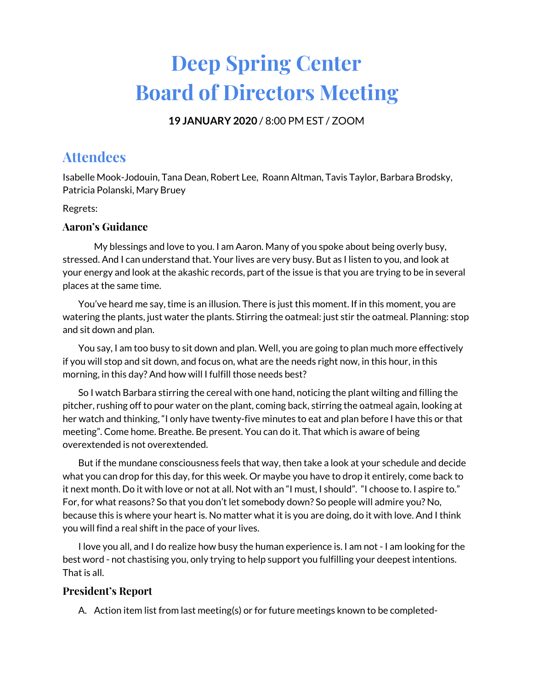# **Deep Spring Center Board of Directors Meeting**

**19 JANUARY 2020** / 8:00 PM EST / ZOOM

# **Attendees**

Isabelle Mook-Jodouin, Tana Dean, Robert Lee, Roann Altman, Tavis Taylor, Barbara Brodsky, Patricia Polanski, Mary Bruey

Regrets:

## **Aaron's Guidance**

My blessings and love to you. I am Aaron. Many of you spoke about being overly busy, stressed. And I can understand that. Your lives are very busy. But as I listen to you, and look at your energy and look at the akashic records, part of the issue is that you are trying to be in several places at the same time.

You've heard me say, time is an illusion. There is just this moment. If in this moment, you are watering the plants, just water the plants. Stirring the oatmeal: just stir the oatmeal. Planning: stop and sit down and plan.

You say, I am too busy to sit down and plan. Well, you are going to plan much more effectively if you will stop and sit down, and focus on, what are the needs right now, in this hour, in this morning, in this day? And how will I fulfill those needs best?

So I watch Barbara stirring the cereal with one hand, noticing the plant wilting and filling the pitcher, rushing off to pour water on the plant, coming back, stirring the oatmeal again, looking at her watch and thinking, "I only have twenty-five minutes to eat and plan before I have this or that meeting". Come home. Breathe. Be present. You can do it. That which is aware of being overextended is not overextended.

But if the mundane consciousness feels that way, then take a look at your schedule and decide what you can drop for this day, for this week. Or maybe you have to drop it entirely, come back to it next month. Do it with love or not at all. Not with an "I must, I should". "I choose to. I aspire to." For, for what reasons? So that you don't let somebody down? So people will admire you? No, because this is where your heart is. No matter what it is you are doing, do it with love. And I think you will find a real shift in the pace of your lives.

I love you all, and I do realize how busy the human experience is. I am not - I am looking for the best word - not chastising you, only trying to help support you fulfilling your deepest intentions. That is all.

# **President's Report**

A. Action item list from last meeting(s) or for future meetings known to be completed-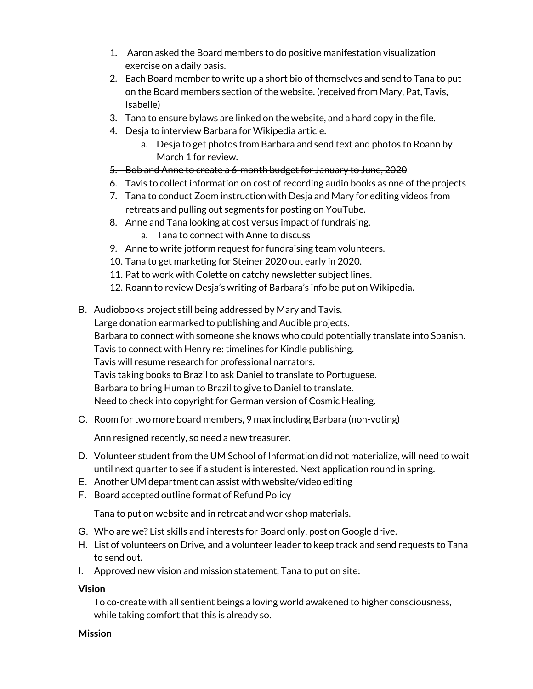- 1. Aaron asked the Board members to do positive manifestation visualization exercise on a daily basis.
- 2. Each Board member to write up a short bio of themselves and send to Tana to put on the Board members section of the website. (received from Mary, Pat, Tavis, Isabelle)
- 3. Tana to ensure bylaws are linked on the website, and a hard copy in the file.
- 4. Desja to interview Barbara for Wikipedia article.
	- a. Desja to get photos from Barbara and send text and photos to Roann by March 1 for review.
- 5. Bob and Anne to create a 6-month budget for January to June, 2020
- 6. Tavis to collect information on cost of recording audio books as one of the projects
- 7. Tana to conduct Zoom instruction with Desja and Mary for editing videos from retreats and pulling out segments for posting on YouTube.
- 8. Anne and Tana looking at cost versus impact of fundraising.
	- a. Tana to connect with Anne to discuss
- 9. Anne to write jotform request for fundraising team volunteers.
- 10. Tana to get marketing for Steiner 2020 out early in 2020.
- 11. Pat to work with Colette on catchy newsletter subject lines.
- 12. Roann to review Desja's writing of Barbara's info be put on Wikipedia.
- B. Audiobooks project still being addressed by Mary and Tavis. Large donation earmarked to publishing and Audible projects. Barbara to connect with someone she knows who could potentially translate into Spanish. Tavis to connect with Henry re: timelines for Kindle publishing. Tavis will resume research for professional narrators. Tavis taking books to Brazil to ask Daniel to translate to Portuguese. Barbara to bring Human to Brazil to give to Daniel to translate. Need to check into copyright for German version of Cosmic Healing.
- C. Room for two more board members, 9 max including Barbara (non-voting)

Ann resigned recently, so need a new treasurer.

- D. Volunteer student from the UM School of Information did not materialize, will need to wait until next quarter to see if a student is interested. Next application round in spring.
- E. Another UM department can assist with website/video editing
- F. Board accepted outline format of Refund Policy

Tana to put on website and in retreat and workshop materials.

- G. Who are we? List skills and interests for Board only, post on Google drive.
- H. List of volunteers on Drive, and a volunteer leader to keep track and send requests to Tana to send out.
- I. Approved new vision and mission statement, Tana to put on site:

## **Vision**

To co-create with all sentient beings a loving world awakened to higher consciousness, while taking comfort that this is already so.

#### **Mission**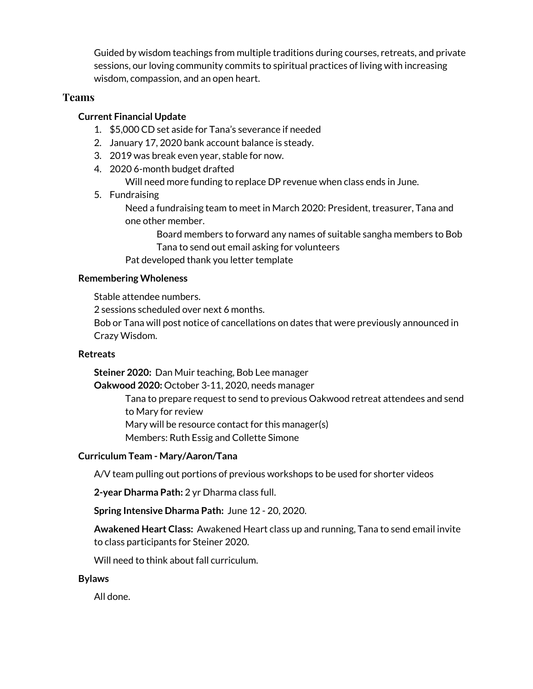Guided by wisdom teachings from multiple traditions during courses, retreats, and private sessions, our loving community commits to spiritual practices of living with increasing wisdom, compassion, and an open heart.

## **Teams**

#### **Current Financial Update**

- 1. \$5,000 CD set aside for Tana's severance if needed
- 2. January 17, 2020 bank account balance is steady.
- 3. 2019 was break even year, stable for now.
- 4. 2020 6-month budget drafted

Will need more funding to replace DP revenue when class ends in June.

5. Fundraising

Need a fundraising team to meet in March 2020: President, treasurer, Tana and one other member.

Board members to forward any names of suitable sangha members to Bob Tana to send out email asking for volunteers

Pat developed thank you letter template

#### **Remembering Wholeness**

Stable attendee numbers.

2 sessions scheduled over next 6 months.

Bob or Tana will post notice of cancellations on dates that were previously announced in Crazy Wisdom.

#### **Retreats**

**Steiner 2020:** Dan Muir teaching, Bob Lee manager

**Oakwood 2020:** October 3-11, 2020, needs manager

Tana to prepare request to send to previous Oakwood retreat attendees and send to Mary for review

Mary will be resource contact for this manager(s)

Members: Ruth Essig and Collette Simone

## **Curriculum Team - Mary/Aaron/Tana**

A/V team pulling out portions of previous workshops to be used for shorter videos

**2-year Dharma Path:** 2 yr Dharma class full.

**Spring Intensive Dharma Path:** June 12 - 20, 2020.

**Awakened Heart Class:** Awakened Heart class up and running, Tana to send email invite to class participants for Steiner 2020.

Will need to think about fall curriculum.

#### **Bylaws**

All done.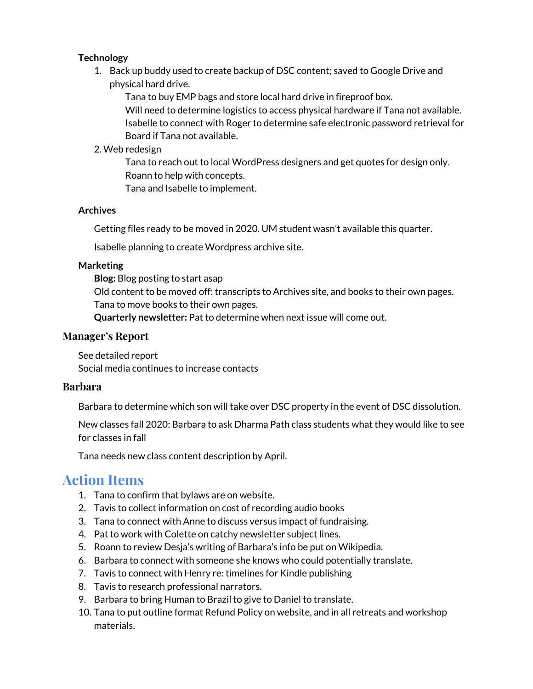## **Technology**

1. Back up buddy used to create backup of DSC content; saved to Google Drive and physical hard drive.

Tana to buy EMP bags and store local hard drive in fireproof box. Will need to determine logistics to access physical hardware if Tana not available. Isabelle to connect with Roger to determine safe electronic password retrieval for Board if Tana not available.

# 2. Web redesign

Tana to reach out to local WordPress designers and get quotes for design only. Roann to help with concepts.

Tana and Isabelle to implement.

## **Archives**

Getting files ready to be moved in 2020. UM student wasn't available this quarter.

Isabelle planning to create Wordpress archive site.

#### **Marketing**

**Blog:** Blog posting to start asap

Old content to be moved off: transcripts to Archives site, and books to their own pages. Tana to move books to their own pages.

**Quarterly newsletter:** Pat to determine when next issue will come out.

## **Manager's Report**

See detailed report Social media continues to increase contacts

## **Barbara**

Barbara to determine which son will take over DSC property in the event of DSC dissolution.

New classes fall 2020: Barbara to ask Dharma Path class students what they would like to see for classes in fall

Tana needs new class content description by April.

# **Action Items**

- 1. Tana to confirm that bylaws are on website.
- 2. Tavis to collect information on cost of recording audio books
- 3. Tana to connect with Anne to discuss versus impact of fundraising.
- 4. Pat to work with Colette on catchy newsletter subject lines.
- 5. Roann to review Desja's writing of Barbara's info be put on Wikipedia.
- 6. Barbara to connect with someone she knows who could potentially translate.
- 7. Tavis to connect with Henry re: timelines for Kindle publishing
- 8. Tavis to research professional narrators.
- 9. Barbara to bring Human to Brazil to give to Daniel to translate.
- 10. Tana to put outline format Refund Policy on website, and in all retreats and workshop materials.